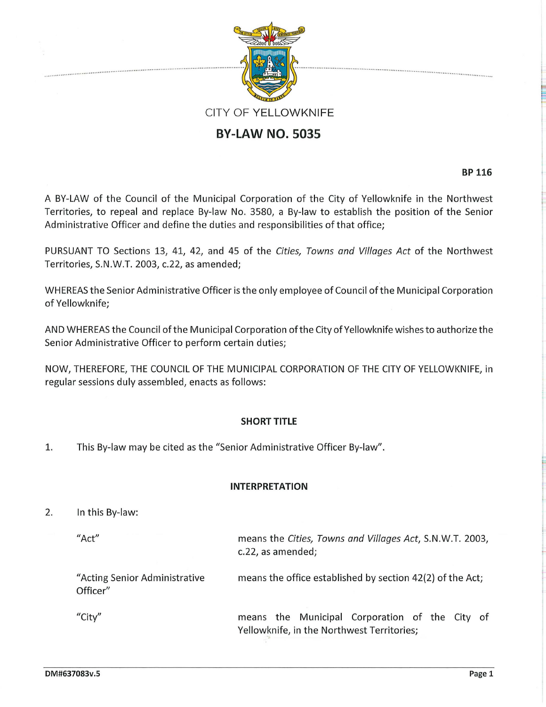

# **BY-LAW NO. 5035**

**BP 116** 

A BY-LAW of the Council of the Municipal Corporation of the City of Yellowknife in the Northwest Territories, to repeal and replace By-law No. 3580, a By-law to establish the position of the Senior Administrative Officer and define the duties and responsibilities of that office;

PURSUANT TO Sections 13, 41, 42, and 45 of the *Cities, Towns and Villages Act* of the Northwest Territories, S.N.W.T. 2003, c.22, as amended;

WHEREAS the Senior Administrative Officer is the only employee of Council of the Municipal Corporation of Yellowknife;

AND WHEREAS the Council of the Municipal Corporation of the City of Yellowknife wishes to authorize the Senior Administrative Officer to perform certain duties;

NOW, THEREFORE, THE COUNCIL OF THE MUNICIPAL CORPORATION OF THE CITY OF YELLOWKNIFE, in regular sessions duly assembled, enacts as follows:

# **SHORT TITLE**

1. This By-law may be cited as the "Senior Administrative Officer By-law".

#### **INTERPRETATION**

- 2. In this By-law:
	- "Act"

"City"

means the *Cities, Towns and Villages Act,* S.N.W.T. 2003, c.22, as amended;

"Acting Senior Administrative Officer" means the office established by section 42(2) of the Act;

> means the Municipal Corporation of the City of Yellowknife, in the Northwest Territories;

re de la propieta de la propieta de la propieta de la propieta de la propieta de la propieta de la propieta d<br>La propieta de la propieta de la propieta de la propieta de la propieta de la propieta de la propieta de la pr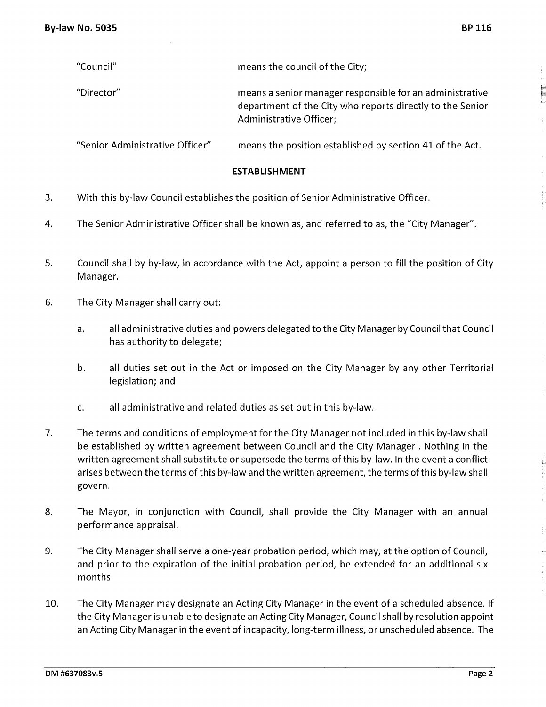| "Council"                       | means the council of the City;                                                                                                                   |
|---------------------------------|--------------------------------------------------------------------------------------------------------------------------------------------------|
| "Director"                      | means a senior manager responsible for an administrative<br>department of the City who reports directly to the Senior<br>Administrative Officer; |
| "Senior Administrative Officer" | means the position established by section 41 of the Act.                                                                                         |

#### **ESTABLISHMENT**

- 3. With this by-law Council establishes the position of Senior Administrative Officer.
- 4. The Senior Administrative Officer shall be known as, and referred to as, the "City Manager".
- 5. Council shall by by-law, in accordance with the Act, appoint a person to fill the position of City Manager.
- 6. The City Manager shall carry out:
	- a. all administrative duties and powers delegated to the City Manager by Council that Council has authority to delegate;
	- b. all duties set out in the Act or imposed on the City Manager by any other Territorial legislation; and
	- c. all administrative and related duties as set out in this by-law.
- 7. The terms and conditions of employment for the City Manager not included in this by-law shall be established by written agreement between Council and the City Manager . Nothing in the written agreement shall substitute or supersede the terms of this by-law. In the event a conflict arises between the terms of this by-law and the written agreement, the terms of this by-law shall govern.
- 8. The Mayor, in conjunction with Council, shall provide the City Manager with an annual performance appraisal.
- 9. The City Manager shall serve a one-year probation period, which may, at the option of Council, and prior to the expiration of the initial probation period, be extended for an additional six months.
- 10. The City Manager may designate an Acting City Manager in the event of a scheduled absence. If the City Manager is unable to designate an Acting City Manager, Council shall by resolution appoint an Acting City Manager in the event of incapacity, long-term illness, or unscheduled absence. The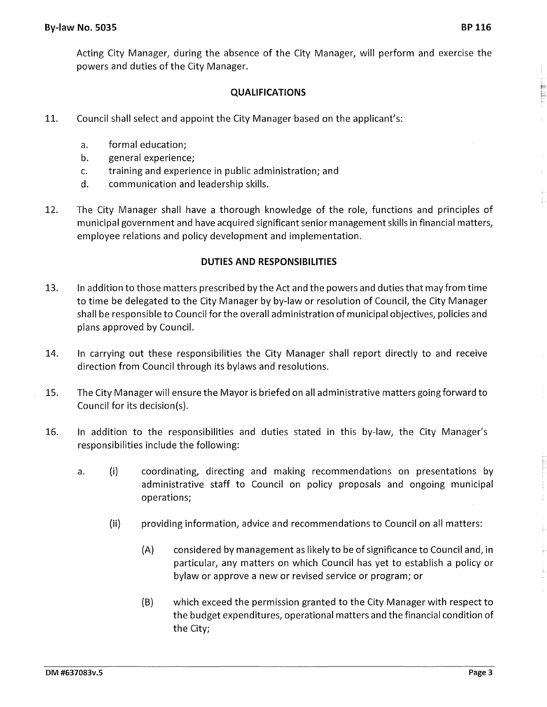Acting City Manager, during the absence of the City Manager, will perform and exercise the powers and duties of the City Manager.

### **QUALIFICATIONS**

- 11. Council shall select and appoint the City Manager based on the applicant's:
	- a. formal education;
	- b. general experience;
	- c. training and experience in public administration; and
	- d. communication and leadership skills.
- 12. The City Manager shall have a thorough knowledge of the role, functions and principles of municipal government and have acquired significant senior management skills in financial matters, employee relations and policy development and implementation.

#### **DUTIES AND RESPONSIBILITIES**

- 13. In addition to those matters prescribed by the Act and the powers and duties that may from time to time be delegated to the City Manager by by-law or resolution of Council, the City Manager shall be responsible to Council for the overall administration of municipal objectives, policies and plans approved by Council.
- 14. In carrying out these responsibilities the City Manager shall report directly to and receive direction from Council through its bylaws and resolutions.
- 15. The City Manager will ensure the Mayor is briefed on all administrative matters going forward to Council for its decision(s).
- 16. In addition to the responsibilities and duties stated in this by-law, the City Manager's responsibilities include the following:
	- a. (i) coordinating, directing and making recommendations on presentations by administrative staff to Council on policy proposals and ongoing municipal operations;
		- (ii) providing information, advice and recommendations to Council on all matters:
			- (A) considered by management as likely to be of significance to Council and, in particular, any matters on which Council has yet to establish a policy or bylaw or approve a new or revised service or program; or
			- (B) which exceed the permission granted to the City Manager with respect to the budget expenditures, operational matters and the financial condition of the City;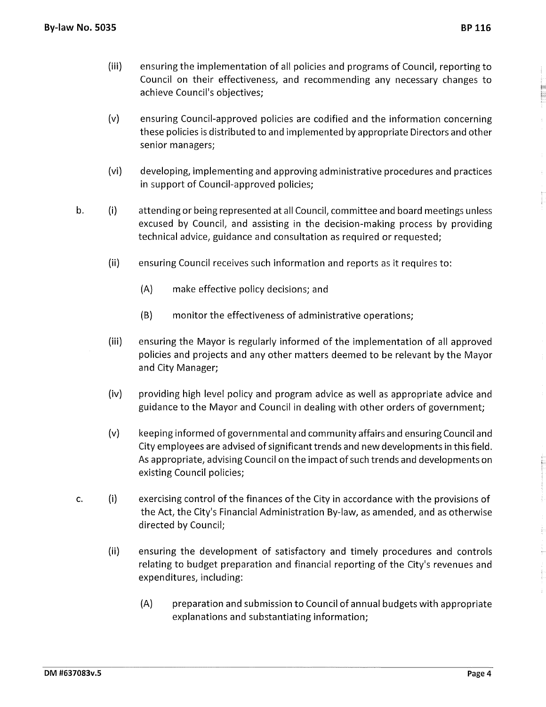(iii)

- (v) ensuring Council-approved policies are codified and the information concerning these policies is distributed to and implemented by appropriate Directors and other senior managers;
- (vi) developing, implementing and approving administrative procedures and practices in support of Council-approved policies;
- b. (i) attending or being represented at all Council, committee and board meetings unless excused by Council, and assisting in the decision-making process by providing technical advice, guidance and consultation as required or requested;
	- (ii) ensuring Council receives such information and reports as it requires to:
		- (A) make effective policy decisions; and

achieve Council's objectives;

- (B) monitor the effectiveness of administrative operations;
- (iii) ensuring the Mayor is regularly informed of the implementation of all approved policies and projects and any other matters deemed to be relevant by the Mayor and City Manager;
- (iv) providing high level policy and program advice as well as appropriate advice and guidance to the Mayor and Council in dealing with other orders of government;
- (v) keeping informed of governmental and community affairs and ensuring Council and City employees are advised of significant trends and new developments in this field. As appropriate, advising Council on the impact of such trends and developments on existing Council policies;
- **C.**  (i) exercising control of the finances of the City in accordance with the provisions of the Act, the City's Financial Administration By-law, as amended, and as otherwise directed by Council;
	- (ii) ensuring the development of satisfactory and timely procedures and controls relating to budget preparation and financial reporting of the City's revenues and expenditures, including:
		- (A) preparation and submission to Council of annual budgets with appropriate explanations and substantiating information;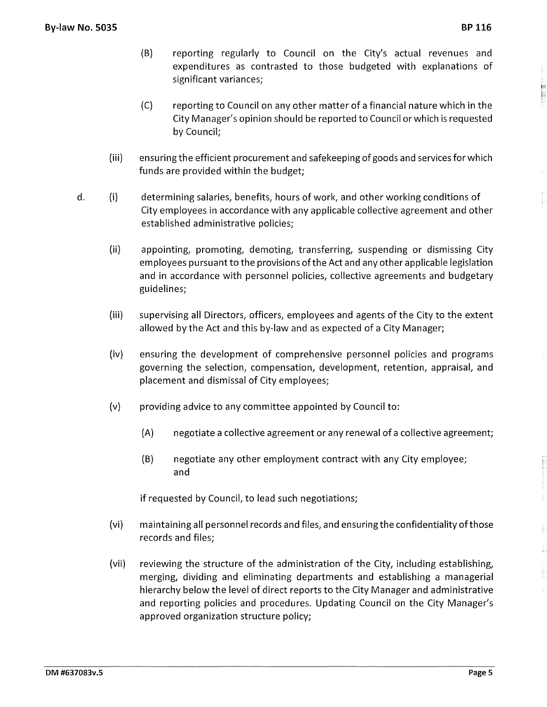E

- (B) reporting regularly to Council on the City's actual revenues and expenditures as contrasted to those budgeted with explanations of significant variances;
- (C) reporting to Council on any other matter of a financial nature which in the City Manager's opinion should be reported to Council or which is requested by Council;
- (iii) ensuring the efficient procurement and safekeeping of goods and services for which funds are provided within the budget;
- d. (i) determining salaries, benefits, hours of work, and other working conditions of City employees in accordance with any applicable collective agreement and other established administrative policies;
	- (ii) appointing, promoting, demoting, transferring, suspending or dismissing City employees pursuant to the provisions of the Act and any other applicable legislation and in accordance with personnel policies, collective agreements and budgetary guidelines;
	- (iii) supervising all Directors, officers, employees and agents of the City to the extent allowed by the Act and this by-law and as expected of a City Manager;
	- (iv) ensuring the development of comprehensive personnel policies and programs governing the selection, compensation, development, retention, appraisal, and placement and dismissal of City employees;
	- (v) providing advice to any committee appointed by Council to:
		- (A) negotiate a collective agreement or any renewal of a collective agreement;
		- (B) negotiate any other employment contract with any City employee; and

if requested by Council, to lead such negotiations;

- (vi) maintaining all personnel records and files, and ensuring the confidentiality of those records and files;
- (vii) reviewing the structure of the administration of the City, including establishing, merging, dividing and eliminating departments and establishing a managerial hierarchy below the level of direct reports to the City Manager and administrative and reporting policies and procedures. Updating Council on the City Manager's approved organization structure policy;

į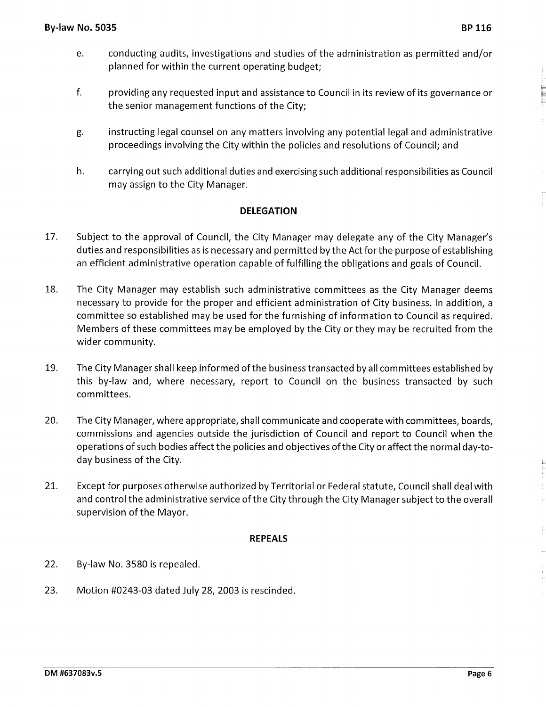- e. conducting audits, investigations and studies of the administration as permitted and/or planned for within the current operating budget;
- f. providing any requested input and assistance to Council in its review of its governance or the senior management functions of the City;
- g. instructing legal counsel on any matters involving any potential legal and administrative proceedings involving the City within the policies and resolutions of Council; and
- h. carrying out such additional duties and exercising such additional responsibilities as Council may assign to the City Manager.

# **DELEGATION**

- 17. Subject to the approval of Council, the City Manager may delegate any of the City Manager's duties and responsibilities as is necessary and permitted by the Act for the purpose of establishing an efficient administrative operation capable of fulfilling the obligations and goals of Council.
- 18. The City Manager may establish such administrative committees as the City Manager deems necessary to provide for the proper and efficient administration of City business. In addition, a committee so established may be used for the furnishing of information to Council as required. Members of these committees may be employed by the City or they may be recruited from the wider community.
- 19. The City Manager shall keep informed of the business transacted by all committees established by this by-law and, where necessary, report to Council on the business transacted by such committees.
- 20. The City Manager, where appropriate, shall communicate and cooperate with committees, boards, commissions and agencies outside the jurisdiction of Council and report to Council when the operations of such bodies affect the policies and objectives of the City or affect the normal day-today business of the City.
- 21. Except for purposes otherwise authorized by Territorial or Federal statute, Council shall deal with and control the administrative service of the City through the City Manager subject to the overall supervision of the Mayor.

# **REPEALS**

- 22. By-law No. 3580 is repealed.
- 23. Motion #0243-03 dated July 28, 2003 is rescinded.